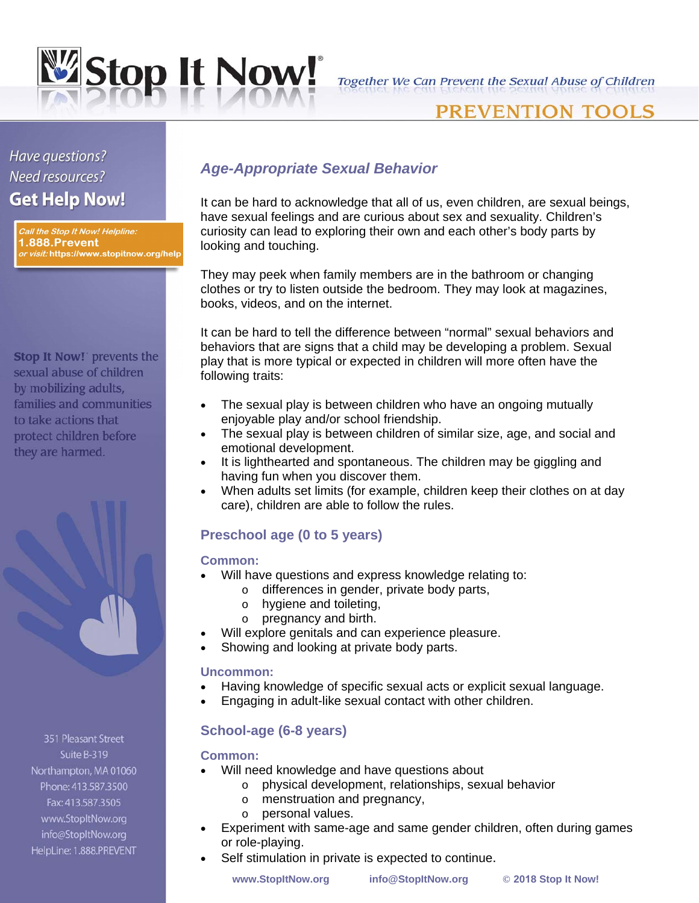

## Together We Can Prevent the Sexual Abuse of Children

# **PREVENTION TOOLS**

# Have questions? **Need resources? Get Help Now!**

Call the Stop It Now! Helpline: **1.888.Prevent** or visit: https://www.stopitnow.org/help

Stop It Now! prevents the sexual abuse of children by mobilizing adults, families and communities to take actions that protect children before they are harmed.



351 Pleasant Street Suite B-319 Northampton, MA 01060 Phone: 413.587.3500 Fax: 413.587.3505 www.StopItNow.org info@StopItNow.org HelpLine: 1.888.PREVENT

## *Age-Appropriate Sexual Behavior*

It can be hard to acknowledge that all of us, even children, are sexual beings, have sexual feelings and are curious about sex and sexuality. Children's curiosity can lead to exploring their own and each other's body parts by looking and touching.

They may peek when family members are in the bathroom or changing clothes or try to listen outside the bedroom. They may look at magazines, books, videos, and on the internet.

It can be hard to tell the difference between "normal" sexual behaviors and behaviors that are signs that a child may be developing a problem. Sexual play that is more typical or expected in children will more often have the following traits:

- enjoyable play and/or school friendship. • The sexual play is between children who have an ongoing mutually
- The sexual play is between children of similar size, age, and social and emotional development.
- It is lighthearted and spontaneous. The children may be giggling and having fun when you discover them.
- When adults set limits (for example, children keep their clothes on at day care), children are able to follow the rules.

## **Preschool age (0 to 5 years)**

### **Common:**

- Will have questions and express knowledge relating to:
	- o differences in gender, private body parts,
	- o hygiene and toileting,
	- o pregnancy and birth.
- Will explore genitals and can experience pleasure.
- Showing and looking at private body parts.

## **Uncommon:**

- Having knowledge of specific sexual acts or explicit sexual language.
- Engaging in adult-like sexual contact with other children.

## **School-age (6-8 years)**

### **Common:**

- Will need knowledge and have questions about
	- o physical development, relationships, sexual behavior
	- o menstruation and pregnancy,
	- o personal values.
- Experiment with same-age and same gender children, often during games or role-playing.
- Self stimulation in private is expected to continue.